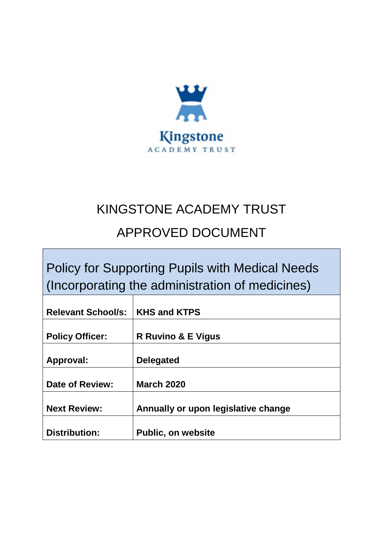

## KINGSTONE ACADEMY TRUST

# APPROVED DOCUMENT

Policy for Supporting Pupils with Medical Needs (Incorporating the administration of medicines)

| <b>Relevant School/s:</b> | <b>KHS and KTPS</b>                 |
|---------------------------|-------------------------------------|
| <b>Policy Officer:</b>    | <b>R Ruvino &amp; E Vigus</b>       |
| <b>Approval:</b>          | <b>Delegated</b>                    |
| Date of Review:           | <b>March 2020</b>                   |
| <b>Next Review:</b>       | Annually or upon legislative change |
| <b>Distribution:</b>      | <b>Public, on website</b>           |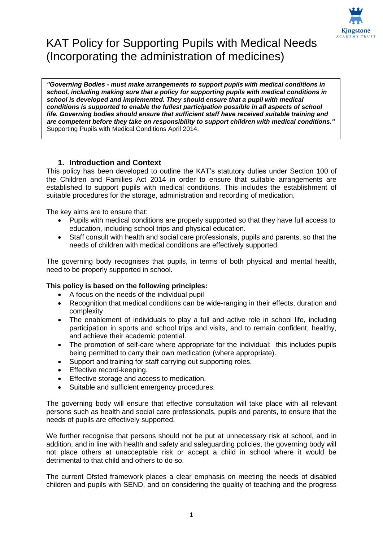

## KAT Policy for Supporting Pupils with Medical Needs (Incorporating the administration of medicines)

*"Governing Bodies - must make arrangements to support pupils with medical conditions in school, including making sure that a policy for supporting pupils with medical conditions in school is developed and implemented. They should ensure that a pupil with medical conditions is supported to enable the fullest participation possible in all aspects of school life. Governing bodies should ensure that sufficient staff have received suitable training and are competent before they take on responsibility to support children with medical conditions."*  Supporting Pupils with Medical Conditions April 2014.

## **1. Introduction and Context**

This policy has been developed to outline the KAT's statutory duties under Section 100 of the Children and Families Act 2014 in order to ensure that suitable arrangements are established to support pupils with medical conditions. This includes the establishment of suitable procedures for the storage, administration and recording of medication.

The key aims are to ensure that:

- Pupils with medical conditions are properly supported so that they have full access to education, including school trips and physical education.
- Staff consult with health and social care professionals, pupils and parents, so that the needs of children with medical conditions are effectively supported.

The governing body recognises that pupils, in terms of both physical and mental health, need to be properly supported in school.

## **This policy is based on the following principles:**

- A focus on the needs of the individual pupil
- Recognition that medical conditions can be wide-ranging in their effects, duration and complexity
- The enablement of individuals to play a full and active role in school life, including participation in sports and school trips and visits, and to remain confident, healthy, and achieve their academic potential.
- The promotion of self-care where appropriate for the individual: this includes pupils being permitted to carry their own medication (where appropriate).
- Support and training for staff carrying out supporting roles.
- **Effective record-keeping.**
- **Effective storage and access to medication.**
- Suitable and sufficient emergency procedures.

The governing body will ensure that effective consultation will take place with all relevant persons such as health and social care professionals, pupils and parents, to ensure that the needs of pupils are effectively supported.

We further recognise that persons should not be put at unnecessary risk at school, and in addition, and in line with health and safety and safeguarding policies, the governing body will not place others at unacceptable risk or accept a child in school where it would be detrimental to that child and others to do so.

The current Ofsted framework places a clear emphasis on meeting the needs of disabled children and pupils with SEND, and on considering the quality of teaching and the progress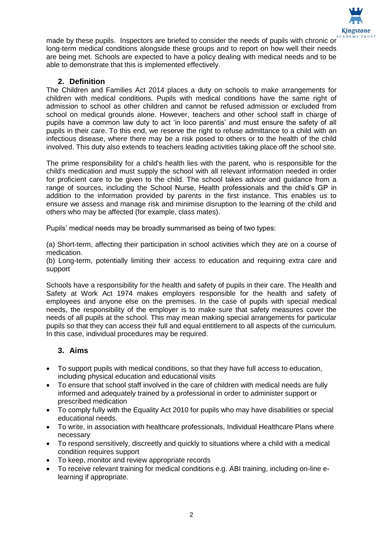

made by these pupils. Inspectors are briefed to consider the needs of pupils with chronic or long-term medical conditions alongside these groups and to report on how well their needs are being met. Schools are expected to have a policy dealing with medical needs and to be able to demonstrate that this is implemented effectively.

## **2. Definition**

The Children and Families Act 2014 places a duty on schools to make arrangements for children with medical conditions. Pupils with medical conditions have the same right of admission to school as other children and cannot be refused admission or excluded from school on medical grounds alone. However, teachers and other school staff in charge of pupils have a common law duty to act 'in loco parentis' and must ensure the safety of all pupils in their care. To this end, we reserve the right to refuse admittance to a child with an infectious disease, where there may be a risk posed to others or to the health of the child involved. This duty also extends to teachers leading activities taking place off the school site.

The prime responsibility for a child's health lies with the parent, who is responsible for the child's medication and must supply the school with all relevant information needed in order for proficient care to be given to the child. The school takes advice and guidance from a range of sources, including the School Nurse, Health professionals and the child's GP in addition to the information provided by parents in the first instance. This enables us to ensure we assess and manage risk and minimise disruption to the learning of the child and others who may be affected (for example, class mates).

Pupils' medical needs may be broadly summarised as being of two types:

(a) Short-term, affecting their participation in school activities which they are on a course of medication.

(b) Long-term, potentially limiting their access to education and requiring extra care and support

Schools have a responsibility for the health and safety of pupils in their care. The Health and Safety at Work Act 1974 makes employers responsible for the health and safety of employees and anyone else on the premises. In the case of pupils with special medical needs, the responsibility of the employer is to make sure that safety measures cover the needs of all pupils at the school. This may mean making special arrangements for particular pupils so that they can access their full and equal entitlement to all aspects of the curriculum. In this case, individual procedures may be required.

## **3. Aims**

- To support pupils with medical conditions, so that they have full access to education, including physical education and educational visits
- To ensure that school staff involved in the care of children with medical needs are fully informed and adequately trained by a professional in order to administer support or prescribed medication
- To comply fully with the Equality Act 2010 for pupils who may have disabilities or special educational needs.
- To write, in association with healthcare professionals, Individual Healthcare Plans where necessary
- To respond sensitively, discreetly and quickly to situations where a child with a medical condition requires support
- To keep, monitor and review appropriate records
- To receive relevant training for medical conditions e.g. ABI training, including on-line elearning if appropriate.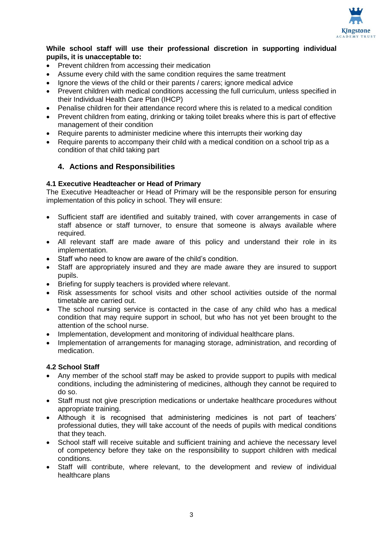

#### **While school staff will use their professional discretion in supporting individual pupils, it is unacceptable to:**

- Prevent children from accessing their medication
- Assume every child with the same condition requires the same treatment
- Ignore the views of the child or their parents / carers; ignore medical advice
- Prevent children with medical conditions accessing the full curriculum, unless specified in their Individual Health Care Plan (IHCP)
- Penalise children for their attendance record where this is related to a medical condition
- Prevent children from eating, drinking or taking toilet breaks where this is part of effective management of their condition
- Require parents to administer medicine where this interrupts their working day
- Require parents to accompany their child with a medical condition on a school trip as a condition of that child taking part

## **4. Actions and Responsibilities**

## **4.1 Executive Headteacher or Head of Primary**

The Executive Headteacher or Head of Primary will be the responsible person for ensuring implementation of this policy in school. They will ensure:

- Sufficient staff are identified and suitably trained, with cover arrangements in case of staff absence or staff turnover, to ensure that someone is always available where required.
- All relevant staff are made aware of this policy and understand their role in its implementation.
- Staff who need to know are aware of the child's condition.
- Staff are appropriately insured and they are made aware they are insured to support pupils.
- Briefing for supply teachers is provided where relevant.
- Risk assessments for school visits and other school activities outside of the normal timetable are carried out.
- The school nursing service is contacted in the case of any child who has a medical condition that may require support in school, but who has not yet been brought to the attention of the school nurse.
- Implementation, development and monitoring of individual healthcare plans.
- Implementation of arrangements for managing storage, administration, and recording of medication.

## **4.2 School Staff**

- Any member of the school staff may be asked to provide support to pupils with medical conditions, including the administering of medicines, although they cannot be required to do so.
- Staff must not give prescription medications or undertake healthcare procedures without appropriate training.
- Although it is recognised that administering medicines is not part of teachers' professional duties, they will take account of the needs of pupils with medical conditions that they teach.
- School staff will receive suitable and sufficient training and achieve the necessary level of competency before they take on the responsibility to support children with medical conditions.
- Staff will contribute, where relevant, to the development and review of individual healthcare plans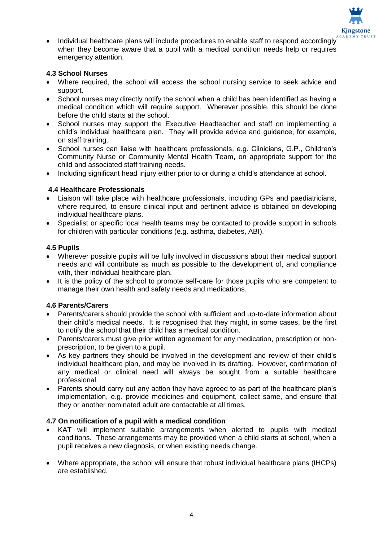

 Individual healthcare plans will include procedures to enable staff to respond accordingly when they become aware that a pupil with a medical condition needs help or requires emergency attention.

## **4.3 School Nurses**

- Where required, the school will access the school nursing service to seek advice and support.
- School nurses may directly notify the school when a child has been identified as having a medical condition which will require support. Wherever possible, this should be done before the child starts at the school.
- School nurses may support the Executive Headteacher and staff on implementing a child's individual healthcare plan. They will provide advice and guidance, for example, on staff training.
- School nurses can liaise with healthcare professionals, e.g. Clinicians, G.P., Children's Community Nurse or Community Mental Health Team, on appropriate support for the child and associated staff training needs.
- Including significant head injury either prior to or during a child's attendance at school.

## **4.4 Healthcare Professionals**

- Liaison will take place with healthcare professionals, including GPs and paediatricians, where required, to ensure clinical input and pertinent advice is obtained on developing individual healthcare plans.
- Specialist or specific local health teams may be contacted to provide support in schools for children with particular conditions (e.g. asthma, diabetes, ABI).

## **4.5 Pupils**

- Wherever possible pupils will be fully involved in discussions about their medical support needs and will contribute as much as possible to the development of, and compliance with, their individual healthcare plan.
- It is the policy of the school to promote self-care for those pupils who are competent to manage their own health and safety needs and medications.

## **4.6 Parents/Carers**

- Parents/carers should provide the school with sufficient and up-to-date information about their child's medical needs. It is recognised that they might, in some cases, be the first to notify the school that their child has a medical condition.
- Parents/carers must give prior written agreement for any medication, prescription or nonprescription, to be given to a pupil.
- As key partners they should be involved in the development and review of their child's individual healthcare plan, and may be involved in its drafting. However, confirmation of any medical or clinical need will always be sought from a suitable healthcare professional.
- Parents should carry out any action they have agreed to as part of the healthcare plan's implementation, e.g. provide medicines and equipment, collect same, and ensure that they or another nominated adult are contactable at all times.

## **4.7 On notification of a pupil with a medical condition**

- KAT will implement suitable arrangements when alerted to pupils with medical conditions. These arrangements may be provided when a child starts at school, when a pupil receives a new diagnosis, or when existing needs change.
- Where appropriate, the school will ensure that robust individual healthcare plans (IHCPs) are established.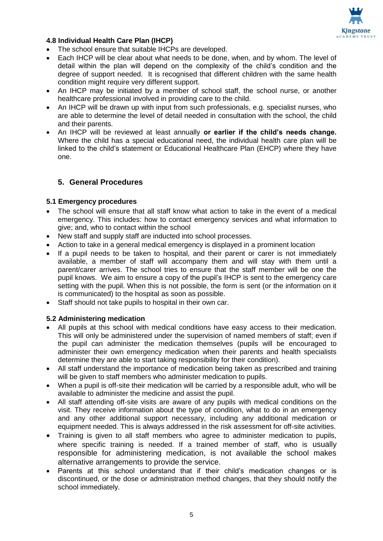

## **4.8 Individual Health Care Plan (IHCP)**

- The school ensure that suitable IHCPs are developed.
- Each IHCP will be clear about what needs to be done, when, and by whom. The level of detail within the plan will depend on the complexity of the child's condition and the degree of support needed. It is recognised that different children with the same health condition might require very different support.
- An IHCP may be initiated by a member of school staff, the school nurse, or another healthcare professional involved in providing care to the child.
- An IHCP will be drawn up with input from such professionals, e.g. specialist nurses, who are able to determine the level of detail needed in consultation with the school, the child and their parents.
- An IHCP will be reviewed at least annually **or earlier if the child's needs change.**  Where the child has a special educational need, the individual health care plan will be linked to the child's statement or Educational Healthcare Plan (EHCP) where they have one.

## **5. General Procedures**

## **5.1 Emergency procedures**

- The school will ensure that all staff know what action to take in the event of a medical emergency. This includes: how to contact emergency services and what information to give; and, who to contact within the school
- New staff and supply staff are inducted into school processes.
- Action to take in a general medical emergency is displayed in a prominent location
- If a pupil needs to be taken to hospital, and their parent or carer is not immediately available, a member of staff will accompany them and will stay with them until a parent/carer arrives. The school tries to ensure that the staff member will be one the pupil knows. We aim to ensure a copy of the pupil's IHCP is sent to the emergency care setting with the pupil. When this is not possible, the form is sent (or the information on it is communicated) to the hospital as soon as possible.
- Staff should not take pupils to hospital in their own car.

## **5.2 Administering medication**

- All pupils at this school with medical conditions have easy access to their medication. This will only be administered under the supervision of named members of staff; even if the pupil can administer the medication themselves (pupils will be encouraged to administer their own emergency medication when their parents and health specialists determine they are able to start taking responsibility for their condition).
- All staff understand the importance of medication being taken as prescribed and training will be given to staff members who administer medication to pupils.
- When a pupil is off-site their medication will be carried by a responsible adult, who will be available to administer the medicine and assist the pupil.
- All staff attending off-site visits are aware of any pupils with medical conditions on the visit. They receive information about the type of condition, what to do in an emergency and any other additional support necessary, including any additional medication or equipment needed. This is always addressed in the risk assessment for off-site activities.
- Training is given to all staff members who agree to administer medication to pupils, where specific training is needed. If a trained member of staff, who is usually responsible for administering medication, is not available the school makes alternative arrangements to provide the service.
- Parents at this school understand that if their child's medication changes or is discontinued, or the dose or administration method changes, that they should notify the school immediately.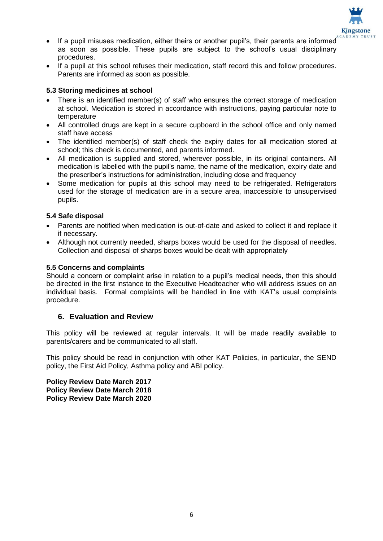

- If a pupil misuses medication, either theirs or another pupil's, their parents are informed as soon as possible. These pupils are subject to the school's usual disciplinary procedures.
- If a pupil at this school refuses their medication, staff record this and follow procedures. Parents are informed as soon as possible.

## **5.3 Storing medicines at school**

- There is an identified member(s) of staff who ensures the correct storage of medication at school. Medication is stored in accordance with instructions, paying particular note to temperature
- All controlled drugs are kept in a secure cupboard in the school office and only named staff have access
- The identified member(s) of staff check the expiry dates for all medication stored at school; this check is documented, and parents informed.
- All medication is supplied and stored, wherever possible, in its original containers. All medication is labelled with the pupil's name, the name of the medication, expiry date and the prescriber's instructions for administration, including dose and frequency
- Some medication for pupils at this school may need to be refrigerated. Refrigerators used for the storage of medication are in a secure area, inaccessible to unsupervised pupils.

## **5.4 Safe disposal**

- Parents are notified when medication is out-of-date and asked to collect it and replace it if necessary.
- Although not currently needed, sharps boxes would be used for the disposal of needles. Collection and disposal of sharps boxes would be dealt with appropriately

## **5.5 Concerns and complaints**

Should a concern or complaint arise in relation to a pupil's medical needs, then this should be directed in the first instance to the Executive Headteacher who will address issues on an individual basis. Formal complaints will be handled in line with KAT's usual complaints procedure.

## **6. Evaluation and Review**

This policy will be reviewed at regular intervals. It will be made readily available to parents/carers and be communicated to all staff.

This policy should be read in conjunction with other KAT Policies, in particular, the SEND policy, the First Aid Policy, Asthma policy and ABI policy.

**Policy Review Date March 2017 Policy Review Date March 2018 Policy Review Date March 2020**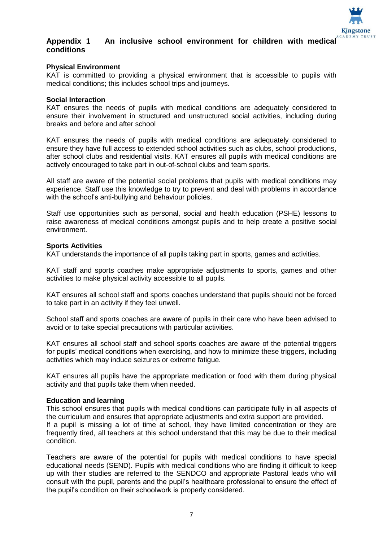

## **Appendix 1 An inclusive school environment for children with medical conditions**

#### **Physical Environment**

KAT is committed to providing a physical environment that is accessible to pupils with medical conditions; this includes school trips and journeys.

#### **Social Interaction**

KAT ensures the needs of pupils with medical conditions are adequately considered to ensure their involvement in structured and unstructured social activities, including during breaks and before and after school

KAT ensures the needs of pupils with medical conditions are adequately considered to ensure they have full access to extended school activities such as clubs, school productions, after school clubs and residential visits. KAT ensures all pupils with medical conditions are actively encouraged to take part in out-of-school clubs and team sports.

All staff are aware of the potential social problems that pupils with medical conditions may experience. Staff use this knowledge to try to prevent and deal with problems in accordance with the school's anti-bullying and behaviour policies.

Staff use opportunities such as personal, social and health education (PSHE) lessons to raise awareness of medical conditions amongst pupils and to help create a positive social environment.

#### **Sports Activities**

KAT understands the importance of all pupils taking part in sports, games and activities.

KAT staff and sports coaches make appropriate adjustments to sports, games and other activities to make physical activity accessible to all pupils.

KAT ensures all school staff and sports coaches understand that pupils should not be forced to take part in an activity if they feel unwell.

School staff and sports coaches are aware of pupils in their care who have been advised to avoid or to take special precautions with particular activities.

KAT ensures all school staff and school sports coaches are aware of the potential triggers for pupils' medical conditions when exercising, and how to minimize these triggers, including activities which may induce seizures or extreme fatigue.

KAT ensures all pupils have the appropriate medication or food with them during physical activity and that pupils take them when needed.

#### **Education and learning**

This school ensures that pupils with medical conditions can participate fully in all aspects of the curriculum and ensures that appropriate adjustments and extra support are provided. If a pupil is missing a lot of time at school, they have limited concentration or they are frequently tired, all teachers at this school understand that this may be due to their medical condition.

Teachers are aware of the potential for pupils with medical conditions to have special educational needs (SEND). Pupils with medical conditions who are finding it difficult to keep up with their studies are referred to the SENDCO and appropriate Pastoral leads who will consult with the pupil, parents and the pupil's healthcare professional to ensure the effect of the pupil's condition on their schoolwork is properly considered.